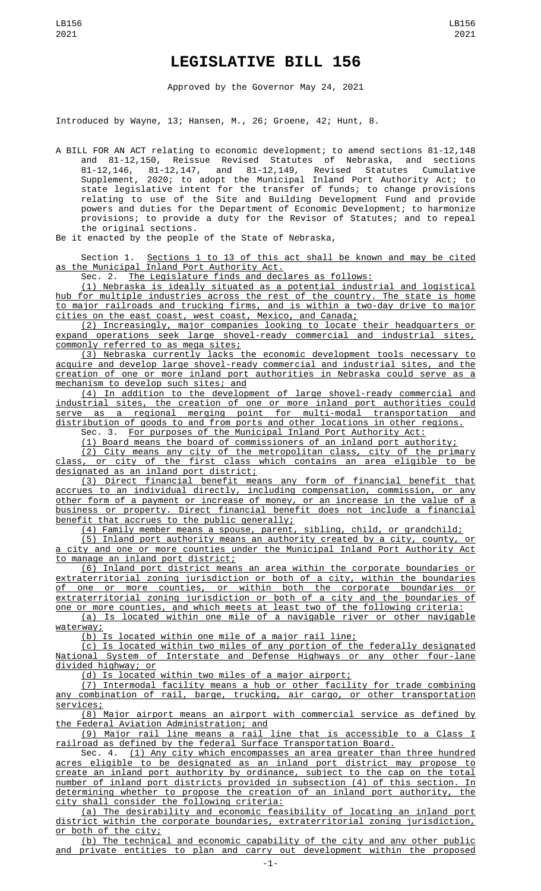## **LEGISLATIVE BILL 156**

Approved by the Governor May 24, 2021

Introduced by Wayne, 13; Hansen, M., 26; Groene, 42; Hunt, 8.

A BILL FOR AN ACT relating to economic development; to amend sections 81-12,148 and 81-12,150, Reissue Revised Statutes of Nebraska, and sections 81-12,146, 81-12,147, and 81-12,149, Revised Statutes Cumulative Supplement, 2020; to adopt the Municipal Inland Port Authority Act; to state legislative intent for the transfer of funds; to change provisions relating to use of the Site and Building Development Fund and provide powers and duties for the Department of Economic Development; to harmonize provisions; to provide a duty for the Revisor of Statutes; and to repeal the original sections.

Be it enacted by the people of the State of Nebraska,

Section 1. Sections 1 to 13 of this act shall be known and may be cited as the Municipal Inland Port Authority Act.

Sec. 2. The Legislature finds and declares as follows:

(1) Nebraska is ideally situated as a potential industrial and logistical hub for multiple industries across the rest of the country. The state is home to major railroads and trucking firms, and is within a two-day drive to major cities on the east coast, west coast, Mexico, and Canada;

(2) Increasingly, major companies looking to locate their headquarters or expand operations seek large shovel-ready commercial and industrial sites, commonly referred to as mega sites;

(3) Nebraska currently lacks the economic development tools necessary to acquire and develop large shovel-ready commercial and industrial sites, and the creation of one or more inland port authorities in Nebraska could serve as a mechanism to develop such sites; and

(4) In addition to the development of large shovel-ready commercial and industrial sites, the creation of one or more inland port authorities could serve as a regional merging point for multi-modal transportation and distribution of goods to and from ports and other locations in other regions.

Sec. 3. For purposes of the Municipal Inland Port Authority Act:

(1) Board means the board of commissioners of an inland port authority; (2) City means any city of the metropolitan class, city of the primary class, or city of the first class which contains an area eligible to be designated as an inland port district;

(3) Direct financial benefit means any form of financial benefit that accrues to an individual directly, including compensation, commission, or any other form of a payment or increase of money, or an increase in the value of a business or property. Direct financial benefit does not include a financial benefit that accrues to the public generally;

(4) Family member means a spouse, parent, sibling, child, or grandchild; (5) Inland port authority means an authority created by a city, county, or a city and one or more counties under the Municipal Inland Port Authority Act

to manage an inland port district; (6) Inland port district means an area within the corporate boundaries or extraterritorial zoning jurisdiction or both of a city, within the boundaries of one or more counties, or within both the corporate boundaries or extraterritorial zoning jurisdiction or both of a city and the boundaries of one or more counties, and which meets at least two of the following criteria:

(a) Is located within one mile of a navigable river or other navigable waterway;

(b) Is located within one mile of a major rail line;

(c) Is located within two miles of any portion of the federally designated National System of Interstate and Defense Highways or any other four-lane divided highway; or

(d) Is located within two miles of a major airport;

(7) Intermodal facility means a hub or other facility for trade combining any combination of rail, barge, trucking, air cargo, or other transportation services;

(8) Major airport means an airport with commercial service as defined by the Federal Aviation Administration; and

(9) Major rail line means a rail line that is accessible to a Class I railroad as defined by the federal Surface Transportation Board.

Sec. 4. <u>(1) Any city which encompasses an area greater than three hundred</u> acres eligible to be designated as an inland port district may propose to create an inland port authority by ordinance, subject to the cap on the total number of inland port districts provided in subsection (4) of this section. In determining whether to propose the creation of an inland port authority, the city shall consider the following criteria:

(a) The desirability and economic feasibility of locating an inland port district within the corporate boundaries, extraterritorial zoning jurisdiction, or both of the city;

(b) The technical and economic capability of the city and any other public and private entities to plan and carry out development within the proposed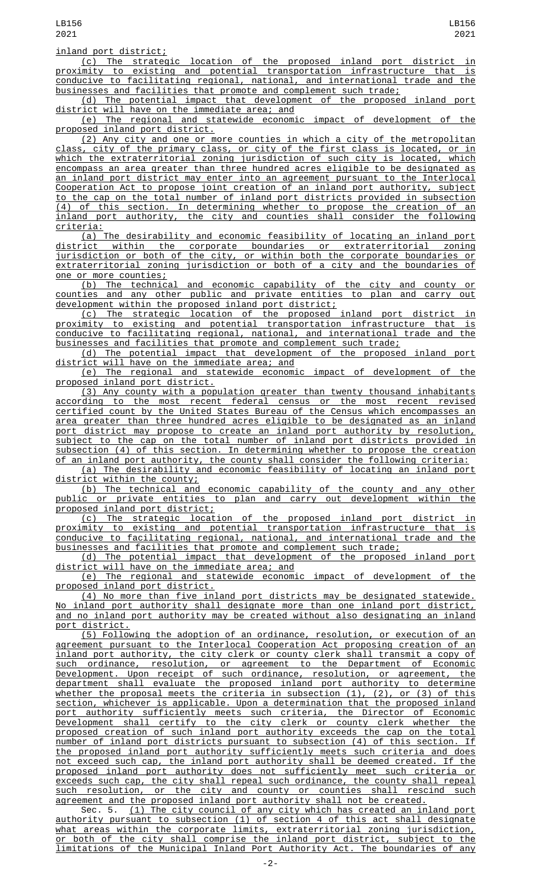(c) The strategic location of the proposed inland port district in proximity to existing and potential transportation infrastructure that is conducive to facilitating regional, national, and international trade and the businesses and facilities that promote and complement such trade;

(d) The potential impact that development of the proposed inland port district will have on the immediate area; and

(e) The regional and statewide economic impact of development of the proposed inland port district.

(2) Any city and one or more counties in which a city of the metropolitan class, city of the primary class, or city of the first class is located, or in which the extraterritorial zoning jurisdiction of such city is located, which encompass an area greater than three hundred acres eligible to be designated as an inland port district may enter into an agreement pursuant to the Interlocal Cooperation Act to propose joint creation of an inland port authority, subject to the cap on the total number of inland port districts provided in subsection (4) of this section. In determining whether to propose the creation of an inland port authority, the city and counties shall consider the following criteria:

(a) The desirability and economic feasibility of locating an inland port district within the corporate boundaries or extraterritorial zoning jurisdiction or both of the city, or within both the corporate boundaries or extraterritorial zoning jurisdiction or both of a city and the boundaries of one or more counties;

(b) The technical and economic capability of the city and county or counties and any other public and private entities to plan and carry out development within the proposed inland port district;

(c) The strategic location of the proposed inland port district in proximity to existing and potential transportation infrastructure that is<br>conducive to facilitating regional, national, and international trade and the conducive to facilitating regional, national, and international trade and businesses and facilities that promote and complement such trade;

(d) The potential impact that development of the proposed inland port district will have on the immediate area; and

(e) The regional and statewide economic impact of development of the proposed inland port district.

(3) Any county with a population greater than twenty thousand inhabitants according to the most recent federal census or the most recent revised certified count by the United States Bureau of the Census which encompasses an area greater than three hundred acres eligible to be designated as an inland port district may propose to create an inland port authority by resolution, subject to the cap on the total number of inland port districts provided in subsection (4) of this section. In determining whether to propose the creation of an inland port authority, the county shall consider the following criteria: (a) The desirability and economic feasibility of locating an inland port

district within the county;

(b) The technical and economic capability of the county and any other public or private entities to plan and carry out development within the proposed inland port district;

(c) The strategic location of the proposed inland port district in proximity to existing and potential transportation infrastructure that is conducive to facilitating regional, national, and international trade and the businesses and facilities that promote and complement such trade;

(d) The potential impact that development of the proposed inland port district will have on the immediate area; and

(e) The regional and statewide economic impact of development of the proposed inland port district.

(4) No more than five inland port districts may be designated statewide. No inland port authority shall designate more than one inland port district, and no inland port authority may be created without also designating an inland port district.

(5) Following the adoption of an ordinance, resolution, or execution of an agreement pursuant to the Interlocal Cooperation Act proposing creation of an inland port authority, the city clerk or county clerk shall transmit a copy of such ordinance, resolution, or agreement to the Department of Economic Development. Upon receipt of such ordinance, resolution, or agreement, the department shall evaluate the proposed inland port authority to determine whether the proposal meets the criteria in subsection (1), (2), or (3) of this section, whichever is applicable. Upon a determination that the proposed inland port authority sufficiently meets such criteria, the Director of Economic Development shall certify to the city clerk or county clerk whether the proposed creation of such inland port authority exceeds the cap on the total number of inland port districts pursuant to subsection (4) of this section. If the proposed inland port authority sufficiently meets such criteria and does not exceed such cap, the inland port authority shall be deemed created. If the proposed inland port authority does not sufficiently meet such criteria or exceeds such cap, the city shall repeal such ordinance, the county shall repeal such resolution, or the city and county or counties shall rescind such agreement and the proposed inland port authority shall not be created.

Sec. 5. (1) The city council of any city which has created an inland port authority pursuant to subsection (1) of section 4 of this act shall designate what areas within the corporate limits, extraterritorial zoning jurisdiction, or both of the city shall comprise the inland port district, subject to the limitations of the Municipal Inland Port Authority Act. The boundaries of any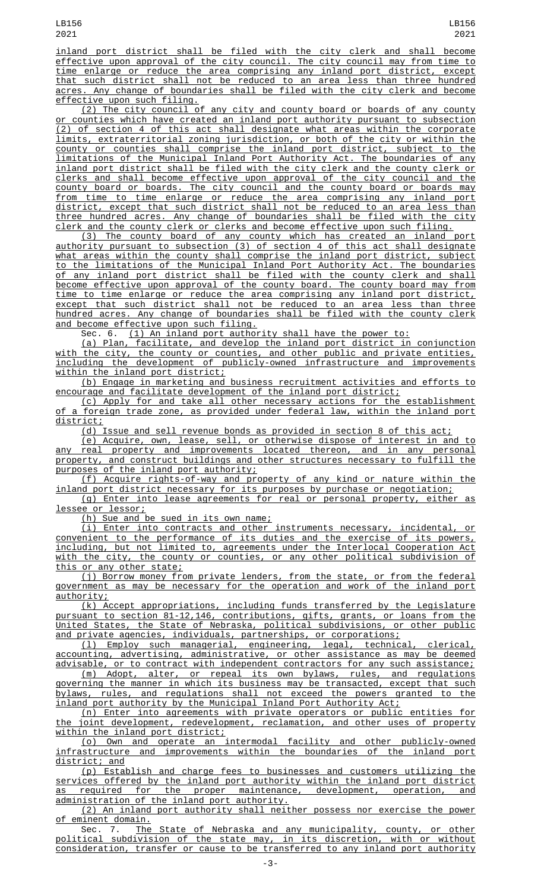inland port district shall be filed with the city clerk and shall become effective upon approval of the city council. The city council may from time to time enlarge or reduce the area comprising any inland port district, except that such district shall not be reduced to an area less than three hundred acres. Any change of boundaries shall be filed with the city clerk and become effective upon such filing.

(2) The city council of any city and county board or boards of any county or counties which have created an inland port authority pursuant to subsection (2) of section 4 of this act shall designate what areas within the corporate limits, extraterritorial zoning jurisdiction, or both of the city or within the county or counties shall comprise the inland port district, subject to the limitations of the Municipal Inland Port Authority Act. The boundaries of any inland port district shall be filed with the city clerk and the county clerk or clerks and shall become effective upon approval of the city council and the county board or boards. The city council and the county board or boards may from time to time enlarge or reduce the area comprising any inland port district, except that such district shall not be reduced to an area less than three hundred acres. Any change of boundaries shall be filed with the city clerk and the county clerk or clerks and become effective upon such filing.

(3) The county board of any county which has created an inland port authority pursuant to subsection (3) of section 4 of this act shall designate what areas within the county shall comprise the inland port district, subject to the limitations of the Municipal Inland Port Authority Act. The boundaries of any inland port district shall be filed with the county clerk and shall become effective upon approval of the county board. The county board may from time to time enlarge or reduce the area comprising any inland port district, except that such district shall not be reduced to an area less than three hundred acres. Any change of boundaries shall be filed with the county clerk and become effective upon such filing.

Sec. 6. (1) An inland port authority shall have the power to:

(a) Plan, facilitate, and develop the inland port district in conjunction with the city, the county or counties, and other public and private entities, including the development of publicly-owned infrastructure and improvements within the inland port district;

(b) Engage in marketing and business recruitment activities and efforts to encourage and facilitate development of the inland port district;

(c) Apply for and take all other necessary actions for the establishment of a foreign trade zone, as provided under federal law, within the inland port district;

(d) Issue and sell revenue bonds as provided in section 8 of this act;

(e) Acquire, own, lease, sell, or otherwise dispose of interest in and to any real property and improvements located thereon, and in any personal property, and construct buildings and other structures necessary to fulfill the purposes of the inland port authority;

(f) Acquire rights-of-way and property of any kind or nature within the inland port district necessary for its purposes by purchase or negotiation;

(g) Enter into lease agreements for real or personal property, either as lessee or lessor;

(h) Sue and be sued in its own name;

(i) Enter into contracts and other instruments necessary, incidental, or convenient to the performance of its duties and the exercise of its powers, including, but not limited to, agreements under the Interlocal Cooperation Act with the city, the county or counties, or any other political subdivision of this or any other state;

(j) Borrow money from private lenders, from the state, or from the federal government as may be necessary for the operation and work of the inland port authority;

(k) Accept appropriations, including funds transferred by the Legislature pursuant to section 81-12,146, contributions, gifts, grants, or loans from the United States, the State of Nebraska, political subdivisions, or other public and private agencies, individuals, partnerships, or corporations;

(l) Employ such managerial, engineering, legal, technical, clerical, accounting, advertising, administrative, or other assistance as may be deemed advisable, or to contract with independent contractors for any such assistance; (m) Adopt, alter, or repeal its own bylaws, rules, and regulations

governing the manner in which its business may be transacted, except that such bylaws, rules, and regulations shall not exceed the powers granted to the inland port authority by the Municipal Inland Port Authority Act;

(n) Enter into agreements with private operators or public entities for the joint development, redevelopment, reclamation, and other uses of property within the inland port district;

(o) Own and operate an intermodal facility and other publicly-owned infrastructure and improvements within the boundaries of the inland port district; and

(p) Establish and charge fees to businesses and customers utilizing the services offered by the inland port authority within the inland port district as required for the proper maintenance, development, operation, and administration of the inland port authority.

(2) An inland port authority shall neither possess nor exercise the power

of eminent domain.<br>Sec. 7. The State of Nebraska and any municipality, county, or other political subdivision of the state may, in its discretion, with or without consideration, transfer or cause to be transferred to any inland port authority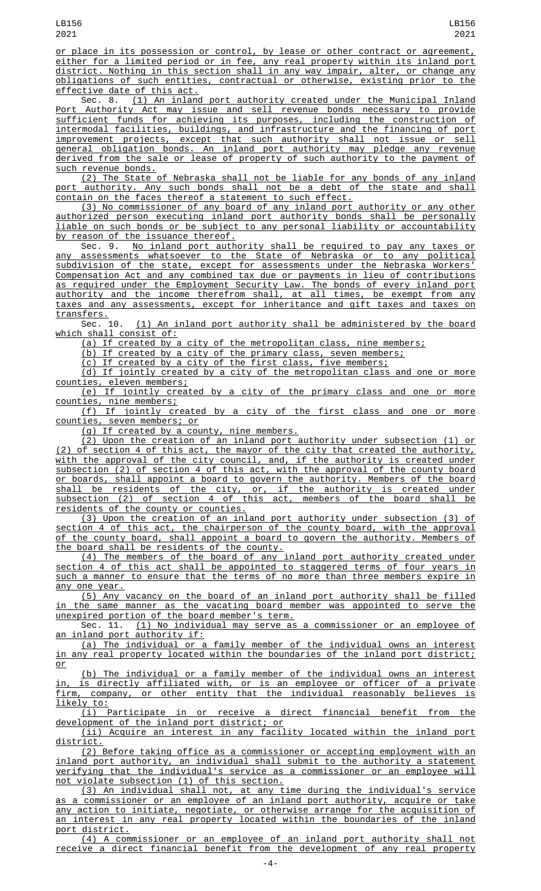or place in its possession or control, by lease or other contract or agreement, either for a limited period or in fee, any real property within its inland port district. Nothing in this section shall in any way impair, alter, or change any obligations of such entities, contractual or otherwise, existing prior to the effective date of this act.

Sec. 8. (1) An inland port authority created under the Municipal Inland Port Authority Act may issue and sell revenue bonds necessary to provide sufficient funds for achieving its purposes, including the construction of intermodal facilities, buildings, and infrastructure and the financing of port improvement projects, except that such authority shall not issue or sell general obligation bonds. An inland port authority may pledge any revenue derived from the sale or lease of property of such authority to the payment of such revenue bonds.

(2) The State of Nebraska shall not be liable for any bonds of any inland port authority. Any such bonds shall not be a debt of the state and shall contain on the faces thereof a statement to such effect.

(3) No commissioner of any board of any inland port authority or any other authorized person executing inland port authority bonds shall be personally liable on such bonds or be subject to any personal liability or accountability by reason of the issuance thereof.

Sec. 9. <u>No inland port authority shall be required to pay any taxes or</u> any assessments whatsoever to the State of Nebraska or to any political subdivision of the state, except for assessments under the Nebraska Workers' Compensation Act and any combined tax due or payments in lieu of contributions as required under the Employment Security Law. The bonds of every inland port authority and the income therefrom shall, at all times, be exempt from any taxes and any assessments, except for inheritance and gift taxes and taxes on

transfers.<br>Sec. 10. (1) An inland port authority shall be administered by the board which shall consist of:

(a) If created by a city of the metropolitan class, nine members;

(b) If created by a city of the primary class, seven members;

(c) If created by a city of the first class, five members;

(d) If jointly created by a city of the metropolitan class and one or more counties, eleven members;

(e) If jointly created by a city of the primary class and one or more counties, nine members;

(f) If jointly created by a city of the first class and one or more counties, seven members; or

(g) If created by a county, nine members.

(2) Upon the creation of an inland port authority under subsection (1) or (2) of section 4 of this act, the mayor of the city that created the authority, with the approval of the city council, and, if the authority is created under subsection (2) of section 4 of this act, with the approval of the county board or boards, shall appoint a board to govern the authority. Members of the board shall be residents of the city, or, if the authority is created under subsection (2) of section 4 of this act, members of the board shall be residents of the county or counties.

(3) Upon the creation of an inland port authority under subsection (3) of section 4 of this act, the chairperson of the county board, with the approval of the county board, shall appoint a board to govern the authority. Members of the board shall be residents of the county.

(4) The members of the board of any inland port authority created under section 4 of this act shall be appointed to staggered terms of four years in such a manner to ensure that the terms of no more than three members expire in any one year.

(5) Any vacancy on the board of an inland port authority shall be filled in the same manner as the vacating board member was appointed to serve the unexpired portion of the board member's term.

Sec. 11. (1) No individual may serve as a commissioner or an employee of an inland port authority if:

(a) The individual or a family member of the individual owns an interest in any real property located within the boundaries of the inland port district; or

(b) The individual or a family member of the individual owns an interest in, is directly affiliated with, or is an employee or officer of a private firm, company, or other entity that the individual reasonably believes is likely to:

(i) Participate in or receive a direct financial benefit from the development of the inland port district; or

(ii) Acquire an interest in any facility located within the inland port district.

(2) Before taking office as a commissioner or accepting employment with an inland port authority, an individual shall submit to the authority a statement verifying that the individual's service as a commissioner or an employee will not violate subsection (1) of this section.

(3) An individual shall not, at any time during the individual's service as a commissioner or an employee of an inland port authority, acquire or take any action to initiate, negotiate, or otherwise arrange for the acquisition of an interest in any real property located within the boundaries of the inland port district.

(4) A commissioner or an employee of an inland port authority shall not receive a direct financial benefit from the development of any real property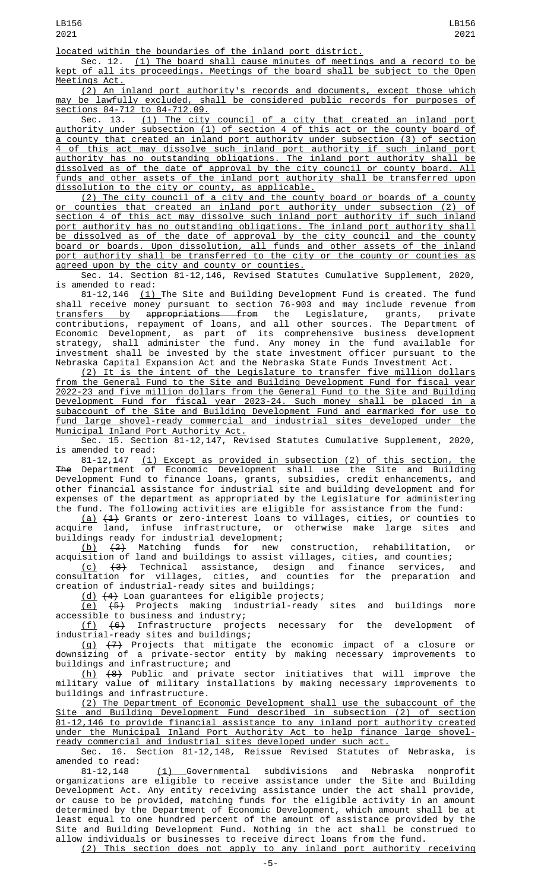located within the boundaries of the inland port district.

Sec. 12. <u>(1) The board shall cause minutes of meetings and a record to be</u> kept of all its proceedings. Meetings of the board shall be subject to the Open Meetings Act.

(2) An inland port authority's records and documents, except those which may be lawfully excluded, shall be considered public records for purposes of sections 84-712 to 84-712.09.

Sec. 13. (1) The city council of a city that created an inland port authority under subsection (1) of section 4 of this act or the county board of a county that created an inland port authority under subsection (3) of section 4 of this act may dissolve such inland port authority if such inland port authority has no outstanding obligations. The inland port authority shall be dissolved as of the date of approval by the city council or county board. All funds and other assets of the inland port authority shall be transferred upon dissolution to the city or county, as applicable.

(2) The city council of a city and the county board or boards of a county or counties that created an inland port authority under subsection (2) of section 4 of this act may dissolve such inland port authority if such inland port authority has no outstanding obligations. The inland port authority shall be dissolved as of the date of approval by the city council and the county board or boards. Upon dissolution, all funds and other assets of the inland port authority shall be transferred to the city or the county or counties as agreed upon by the city and county or counties.

Sec. 14. Section 81-12,146, Revised Statutes Cumulative Supplement, 2020, is amended to read:

81-12,146 <u>(1) </u>The Site and Building Development Fund is created. The fund shall receive money pursuant to section 76-903 and may include revenue from transfers by appropriations from the Legislature, grants, private contributions, repayment of loans, and all other sources. The Department of Economic Development, as part of its comprehensive business development strategy, shall administer the fund. Any money in the fund available for investment shall be invested by the state investment officer pursuant to the Nebraska Capital Expansion Act and the Nebraska State Funds Investment Act.

(2) It is the intent of the Legislature to transfer five million dollars from the General Fund to the Site and Building Development Fund for fiscal year 2022-23 and five million dollars from the General Fund to the Site and Building Development Fund for fiscal year 2023-24. Such money shall be placed in a subaccount of the Site and Building Development Fund and earmarked for use to fund large shovel-ready commercial and industrial sites developed under the Municipal Inland Port Authority Act.

Sec. 15. Section 81-12,147, Revised Statutes Cumulative Supplement, 2020, is amended to read:

81-12,147 (1) Except as provided in subsection (2) of this section, the The Department of Economic Development shall use the Site and Building Development Fund to finance loans, grants, subsidies, credit enhancements, and other financial assistance for industrial site and building development and for expenses of the department as appropriated by the Legislature for administering the fund. The following activities are eligible for assistance from the fund:

(a)  $(1)$  Grants or zero-interest loans to villages, cities, or counties to acquire land, infuse infrastructure, or otherwise make large sites and buildings ready for industrial development;

(b) (2) Matching funds for new construction, rehabilitation, or acquisition of land and buildings to assist villages, cities, and counties;

<u>(c)</u> <del>(3)</del> Technical assistance, design and finance services, and consultation for villages, cities, and counties for the preparation and creation of industrial-ready sites and buildings;

(d) (4) Loan guarantees for eligible projects;

(e) (5) Projects making industrial-ready sites and buildings more accessible to business and industry;

 $(f)$   $(6)$  Infrastructure projects necessary for the development of industrial-ready sites and buildings;

(g) (7) Projects that mitigate the economic impact of a closure or downsizing of a private-sector entity by making necessary improvements to buildings and infrastructure; and

(h) (8) Public and private sector initiatives that will improve the military value of military installations by making necessary improvements to buildings and infrastructure.

(2) The Department of Economic Development shall use the subaccount of the Site and Building Development Fund described in subsection (2) of section 81-12,146 to provide financial assistance to any inland port authority created under the Municipal Inland Port Authority Act to help finance large shovelready commercial and industrial sites developed under such act.

Sec. 16. Section 81-12,148, Reissue Revised Statutes of Nebraska, is

amended to read:<br>81-12,148 (1) Governmental subdivisions and Nebraska nonprofit organizations are eligible to receive assistance under the Site and Building Development Act. Any entity receiving assistance under the act shall provide, or cause to be provided, matching funds for the eligible activity in an amount determined by the Department of Economic Development, which amount shall be at least equal to one hundred percent of the amount of assistance provided by the Site and Building Development Fund. Nothing in the act shall be construed to allow individuals or businesses to receive direct loans from the fund.

(2) This section does not apply to any inland port authority receiving